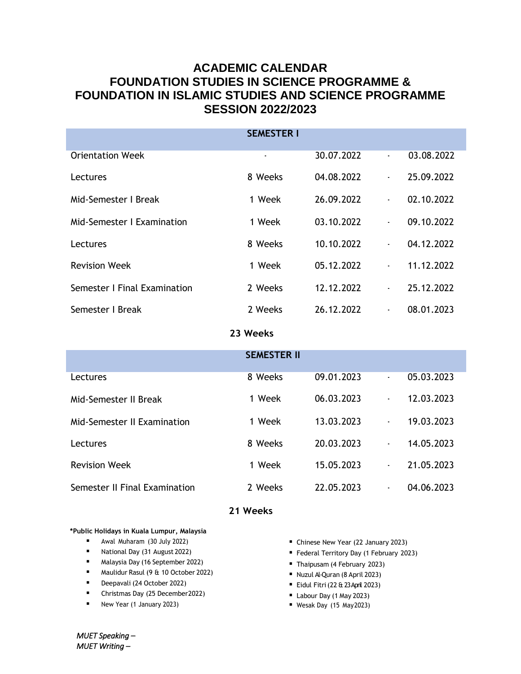# **ACADEMIC CALENDAR FOUNDATION STUDIES IN SCIENCE PROGRAMME & FOUNDATION IN ISLAMIC STUDIES AND SCIENCE PROGRAMME SESSION 2022/2023**

|                              | <b>SEMESTER I</b> |            |                |            |  |  |  |
|------------------------------|-------------------|------------|----------------|------------|--|--|--|
| <b>Orientation Week</b>      | ٠                 | 30.07.2022 | $\blacksquare$ | 03.08.2022 |  |  |  |
| Lectures                     | 8 Weeks           | 04.08.2022 | ×.             | 25.09.2022 |  |  |  |
| Mid-Semester I Break         | 1 Week            | 26.09.2022 | $\blacksquare$ | 02.10.2022 |  |  |  |
| Mid-Semester   Examination   | 1 Week            | 03.10.2022 | $\blacksquare$ | 09.10.2022 |  |  |  |
| Lectures                     | 8 Weeks           | 10.10.2022 | $\blacksquare$ | 04.12.2022 |  |  |  |
| <b>Revision Week</b>         | 1 Week            | 05.12.2022 | ÷.             | 11.12.2022 |  |  |  |
| Semester I Final Examination | 2 Weeks           | 12.12.2022 | $\blacksquare$ | 25.12.2022 |  |  |  |
| Semester I Break             | 2 Weeks           | 26.12.2022 | $\blacksquare$ | 08.01.2023 |  |  |  |
| 23 Weeks                     |                   |            |                |            |  |  |  |

|                               | <b>SEMESTER II</b> |            |    |            |
|-------------------------------|--------------------|------------|----|------------|
| Lectures                      | 8 Weeks            | 09.01.2023 | ä, | 05.03.2023 |
|                               | 1 Week             | 06.03.2023 | ٠  | 12.03.2023 |
| Mid-Semester II Break         |                    |            |    |            |
| Mid-Semester II Examination   | 1 Week             | 13.03.2023 | ٠  | 19.03.2023 |
| Lectures                      | 8 Weeks            | 20.03.2023 | ٠  | 14.05.2023 |
| <b>Revision Week</b>          | 1 Week             | 15.05.2023 | ٠  | 21.05.2023 |
| Semester II Final Examination | 2 Weeks            | 22.05.2023 | ٠  | 04.06.2023 |

## **21 Weeks**

### **\*Public Holidays in Kuala Lumpur, Malaysia**

- **Awal Muharam (30 July 2022)**
- National Day (31 August 2022)
- Malaysia Day (16 September 2022)
- Maulidur Rasul (9 & 10 October 2022)
- Deepavali (24 October 2022)
- Christmas Day (25 December2022)
- New Year (1 January 2023)
- Chinese New Year (22 January 2023)
- Federal Territory Day (1 February 2023)
- Thaipusam (4 February 2023)
- Nuzul Al-Quran (8 April 2023)
- Eidul Fitri(22 & 23 April 2023)
- Labour Day (1 May 2023)
- Wesak Day (15 May2023)

*MUET Speaking – MUET Writing –*